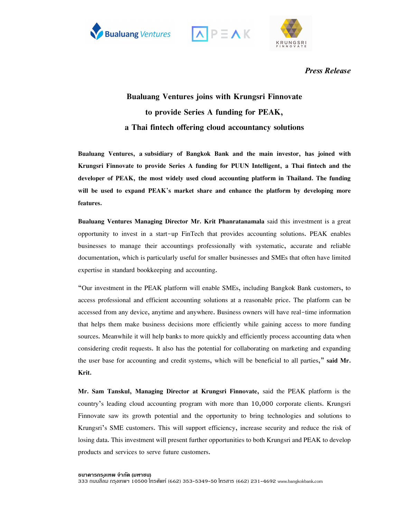





*Press Release*

## **Bualuang Ventures joins with Krungsri Finnovate to provide Series A funding for PEAK, a Thai fintech offering cloud accountancy solutions**

**Bualuang Ventures, a subsidiary of Bangkok Bank and the main investor, has joined with Krungsri Finnovate to provide Series A funding for PUUN Intelligent, a Thai fintech and the developer of PEAK, the most widely used cloud accounting platform in Thailand. The funding will be used to expand PEAK's market share and enhance the platform by developing more features.** 

**Bualuang Ventures Managing Director Mr. Krit Phanratanamala** said this investment is a great opportunity to invest in a start-up FinTech that provides accounting solutions. PEAK enables businesses to manage their accountings professionally with systematic, accurate and reliable documentation, which is particularly useful for smaller businesses and SMEs that often have limited expertise in standard bookkeeping and accounting.

"Our investment in the PEAK platform will enable SMEs, including Bangkok Bank customers, to access professional and efficient accounting solutions at a reasonable price. The platform can be accessed from any device, anytime and anywhere. Business owners will have real-time information that helps them make business decisions more efficiently while gaining access to more funding sources. Meanwhile it will help banks to more quickly and efficiently process accounting data when considering credit requests. It also has the potential for collaborating on marketing and expanding the user base for accounting and credit systems, which will be beneficial to all parties," **said Mr. Krit.**

**Mr. Sam Tanskul, Managing Director at Krungsri Finnovate,** said the PEAK platform is the country's leading cloud accounting program with more than 10,000 corporate clients. Krungsri Finnovate saw its growth potential and the opportunity to bring technologies and solutions to Krungsri's SME customers. This will support efficiency, increase security and reduce the risk of losing data. This investment will present further opportunities to both Krungsri and PEAK to develop products and services to serve future customers.

**ธนาคารกร ุงเทพ จํากัด (มหาชน)**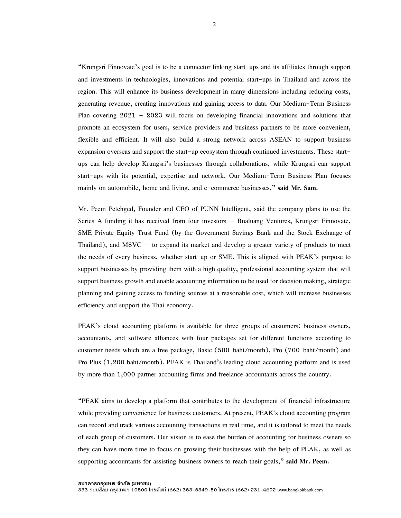"Krungsri Finnovate's goal is to be a connector linking start-ups and its affiliates through support and investments in technologies, innovations and potential start-ups in Thailand and across the region. This will enhance its business development in many dimensions including reducing costs, generating revenue, creating innovations and gaining access to data. Our Medium-Term Business Plan covering 2021 – 2023 will focus on developing financial innovations and solutions that promote an ecosystem for users, service providers and business partners to be more convenient, flexible and efficient. It will also build a strong network across ASEAN to support business expansion overseas and support the start-up ecosystem through continued investments. These startups can help develop Krungsri's businesses through collaborations, while Krungsri can support start-ups with its potential, expertise and network. Our Medium-Term Business Plan focuses mainly on automobile, home and living, and e-commerce businesses," **said Mr. Sam.**

Mr. Peem Petchged, Founder and CEO of PUNN Intelligent, said the company plans to use the Series A funding it has received from four investors — Bualuang Ventures, Krungsri Finnovate, SME Private Equity Trust Fund (by the Government Savings Bank and the Stock Exchange of Thailand), and  $M8VC -$  to expand its market and develop a greater variety of products to meet the needs of every business, whether start-up or SME. This is aligned with PEAK's purpose to support businesses by providing them with a high quality, professional accounting system that will support business growth and enable accounting information to be used for decision making, strategic planning and gaining access to funding sources at a reasonable cost, which will increase businesses efficiency and support the Thai economy.

PEAK's cloud accounting platform is available for three groups of customers: business owners, accountants, and software alliances with four packages set for different functions according to customer needs which are a free package, Basic (500 baht/month), Pro (700 baht/month) and Pro Plus (1,200 baht/month). PEAK is Thailand's leading cloud accounting platform and is used by more than 1,000 partner accounting firms and freelance accountants across the country.

"PEAK aims to develop a platform that contributes to the development of financial infrastructure while providing convenience for business customers. At present, PEAK's cloud accounting program can record and track various accounting transactions in real time, and it is tailored to meet the needs of each group of customers. Our vision is to ease the burden of accounting for business owners so they can have more time to focus on growing their businesses with the help of PEAK, as well as supporting accountants for assisting business owners to reach their goals," **said Mr. Peem.**

2